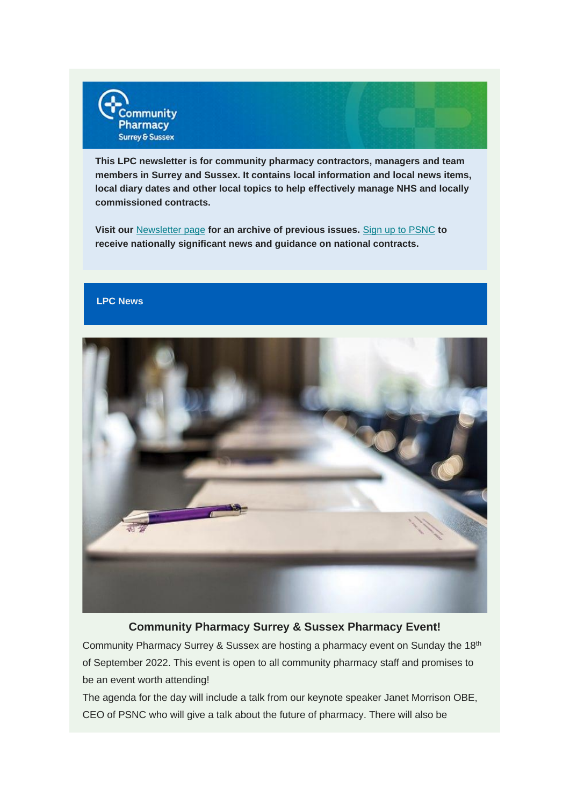

**This LPC newsletter is for community pharmacy contractors, managers and team members in Surrey and Sussex. It contains local information and local news items, local diary dates and other local topics to help effectively manage NHS and locally commissioned contracts.**

**Visit our** [Newsletter page](https://communitypharmacyss.us7.list-manage.com/track/click?u=33f7e892f0f58b8b9ecc659cf&id=81b9764eb8&e=2bf65ab530) **for an archive of previous issues.** Sign [up to PSNC](https://communitypharmacyss.us7.list-manage.com/track/click?u=33f7e892f0f58b8b9ecc659cf&id=8ee99051b6&e=2bf65ab530) **to receive nationally significant news and guidance on national contracts.**

### **LPC News**



### **Community Pharmacy Surrey & Sussex Pharmacy Event!**

Community Pharmacy Surrey & Sussex are hosting a pharmacy event on Sunday the 18th of September 2022. This event is open to all community pharmacy staff and promises to be an event worth attending!

The agenda for the day will include a talk from our keynote speaker Janet Morrison OBE, CEO of PSNC who will give a talk about the future of pharmacy. There will also be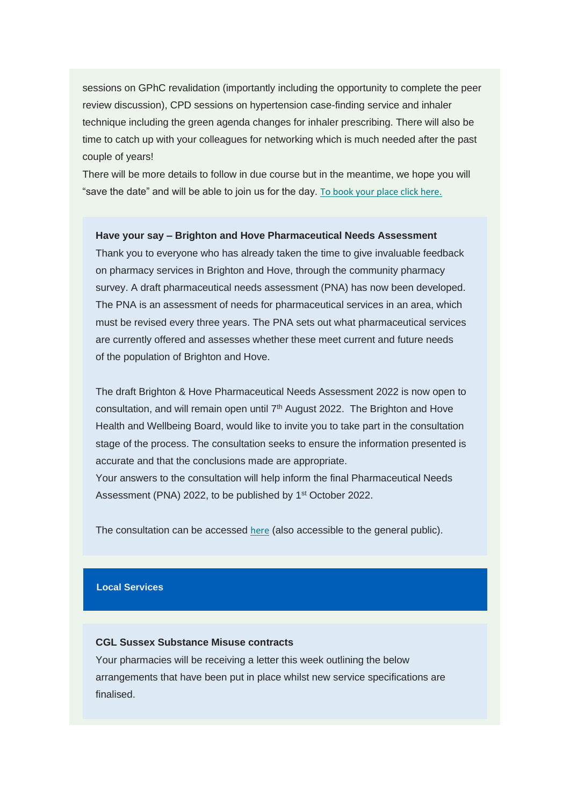sessions on GPhC revalidation (importantly including the opportunity to complete the peer review discussion), CPD sessions on hypertension case-finding service and inhaler technique including the green agenda changes for inhaler prescribing. There will also be time to catch up with your colleagues for networking which is much needed after the past couple of years!

There will be more details to follow in due course but in the meantime, we hope you will "save the date" and will be able to join us for the day. [To book your place click here.](https://communitypharmacyss.us7.list-manage.com/track/click?u=33f7e892f0f58b8b9ecc659cf&id=4d77961606&e=2bf65ab530)

### **Have your say – Brighton and Hove Pharmaceutical Needs Assessment**

Thank you to everyone who has already taken the time to give invaluable feedback on pharmacy services in Brighton and Hove, through the community pharmacy survey. A draft pharmaceutical needs assessment (PNA) has now been developed. The PNA is an assessment of needs for pharmaceutical services in an area, which must be revised every three years. The PNA sets out what pharmaceutical services are currently offered and assesses whether these meet current and future needs of the population of Brighton and Hove.

The draft Brighton & Hove Pharmaceutical Needs Assessment 2022 is now open to consultation, and will remain open until 7<sup>th</sup> August 2022. The Brighton and Hove Health and Wellbeing Board, would like to invite you to take part in the consultation stage of the process. The consultation seeks to ensure the information presented is accurate and that the conclusions made are appropriate.

Your answers to the consultation will help inform the final Pharmaceutical Needs Assessment (PNA) 2022, to be published by 1<sup>st</sup> October 2022.

The consultation can be accessed [here](https://communitypharmacyss.us7.list-manage.com/track/click?u=33f7e892f0f58b8b9ecc659cf&id=a2adbf7b63&e=2bf65ab530) (also accessible to the general public).

#### **Local Services**

### **CGL Sussex Substance Misuse contracts**

Your pharmacies will be receiving a letter this week outlining the below arrangements that have been put in place whilst new service specifications are finalised.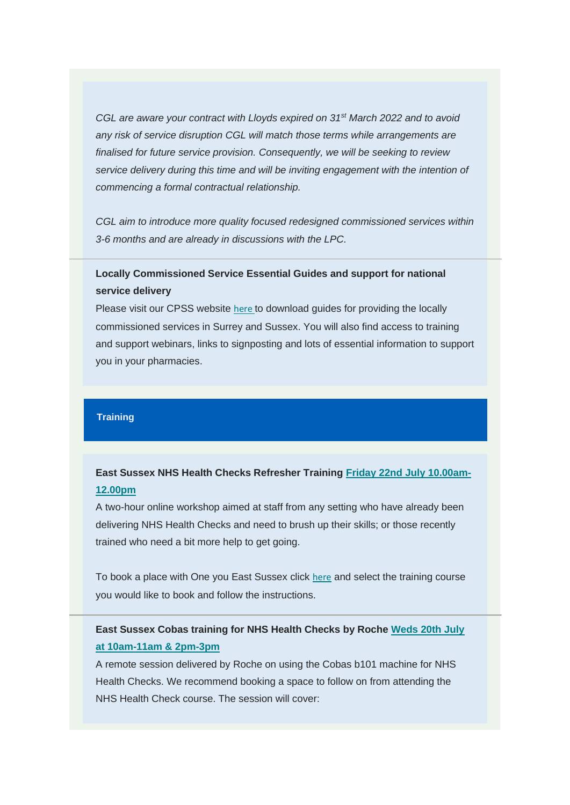*CGL are aware your contract with Lloyds expired on 31st March 2022 and to avoid any risk of service disruption CGL will match those terms while arrangements are finalised for future service provision. Consequently, we will be seeking to review service delivery during this time and will be inviting engagement with the intention of commencing a formal contractual relationship.*

*CGL aim to introduce more quality focused redesigned commissioned services within 3-6 months and are already in discussions with the LPC.*

## **Locally Commissioned Service Essential Guides and support for national service delivery**

Please visit our CPSS website [here](https://communitypharmacyss.us7.list-manage.com/track/click?u=33f7e892f0f58b8b9ecc659cf&id=b6b9ab59d0&e=2bf65ab530) to download guides for providing the locally commissioned services in Surrey and Sussex. You will also find access to training and support webinars, links to signposting and lots of essential information to support you in your pharmacies.

### **Training**

# **East Sussex NHS Health Checks Refresher Training [Friday 22nd July 10.00am-](https://communitypharmacyss.us7.list-manage.com/track/click?u=33f7e892f0f58b8b9ecc659cf&id=424bdb3685&e=2bf65ab530)[12.00pm](https://communitypharmacyss.us7.list-manage.com/track/click?u=33f7e892f0f58b8b9ecc659cf&id=424bdb3685&e=2bf65ab530)**

A two-hour online workshop aimed at staff from any setting who have already been delivering NHS Health Checks and need to brush up their skills; or those recently trained who need a bit more help to get going.

To book a place with One you East Sussex click [here](https://communitypharmacyss.us7.list-manage.com/track/click?u=33f7e892f0f58b8b9ecc659cf&id=ec88405fa0&e=2bf65ab530) and select the training course you would like to book and follow the instructions.

## **East Sussex Cobas training for NHS Health Checks by Roche [Weds 20th July](https://communitypharmacyss.us7.list-manage.com/track/click?u=33f7e892f0f58b8b9ecc659cf&id=1077bb3b35&e=2bf65ab530)  [at 10am-11am & 2pm-3pm](https://communitypharmacyss.us7.list-manage.com/track/click?u=33f7e892f0f58b8b9ecc659cf&id=1077bb3b35&e=2bf65ab530)**

A remote session delivered by Roche on using the Cobas b101 machine for NHS Health Checks. We recommend booking a space to follow on from attending the NHS Health Check course. The session will cover: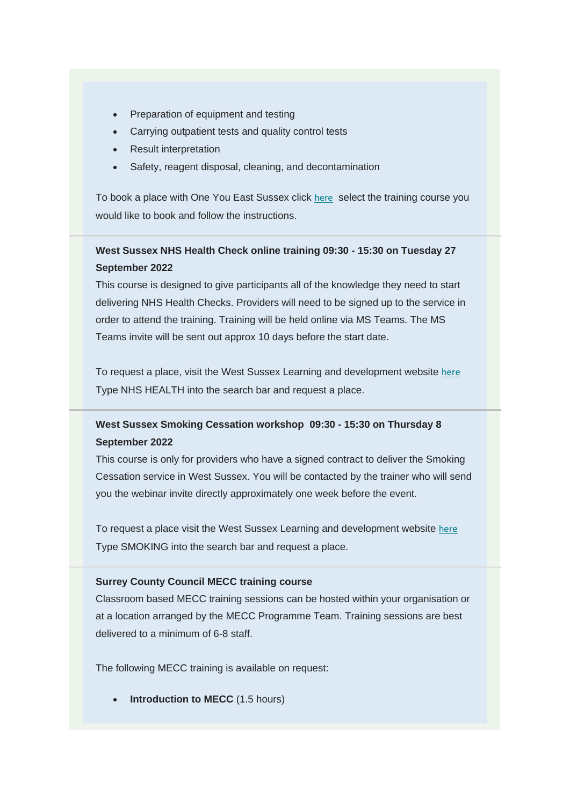- Preparation of equipment and testing
- Carrying outpatient tests and quality control tests
- **Result interpretation**
- Safety, reagent disposal, cleaning, and decontamination

To book a place with One You East Sussex click [here](https://communitypharmacyss.us7.list-manage.com/track/click?u=33f7e892f0f58b8b9ecc659cf&id=5aed64a0d7&e=2bf65ab530) select the training course you would like to book and follow the instructions.

# **West Sussex NHS Health Check online training 09:30 - 15:30 on Tuesday 27 September 2022**

This course is designed to give participants all of the knowledge they need to start delivering NHS Health Checks. Providers will need to be signed up to the service in order to attend the training. Training will be held online via MS Teams. The MS Teams invite will be sent out approx 10 days before the start date.

To request a place, visit the West Sussex Learning and development website [here](https://communitypharmacyss.us7.list-manage.com/track/click?u=33f7e892f0f58b8b9ecc659cf&id=d8671831fb&e=2bf65ab530) Type NHS HEALTH into the search bar and request a place.

# **West Sussex Smoking Cessation workshop 09:30 - 15:30 on Thursday 8 September 2022**

This course is only for providers who have a signed contract to deliver the Smoking Cessation service in West Sussex. You will be contacted by the trainer who will send you the webinar invite directly approximately one week before the event.

To request a place visit the West Sussex Learning and development website [here](https://communitypharmacyss.us7.list-manage.com/track/click?u=33f7e892f0f58b8b9ecc659cf&id=c71e953f1a&e=2bf65ab530) Type SMOKING into the search bar and request a place.

#### **Surrey County Council MECC training course**

Classroom based MECC training sessions can be hosted within your organisation or at a location arranged by the MECC Programme Team. Training sessions are best delivered to a minimum of 6-8 staff.

The following MECC training is available on request:

• **Introduction to MECC** (1.5 hours)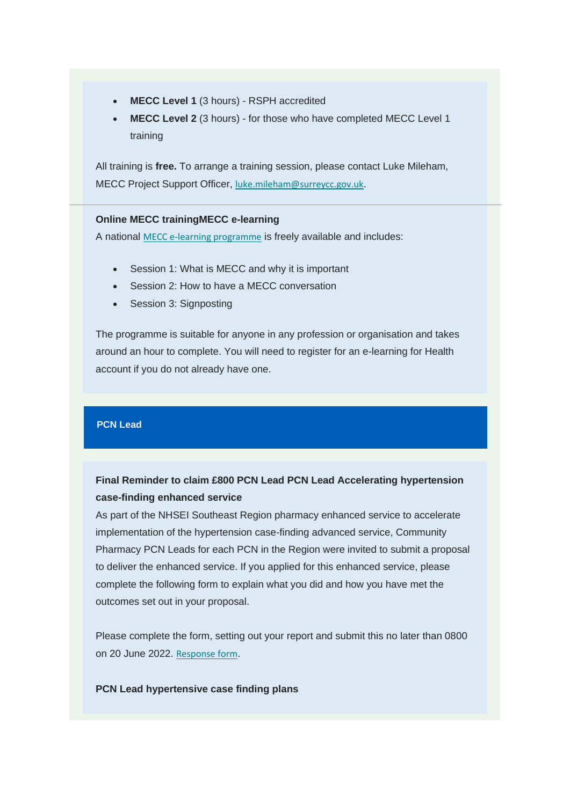- **MECC Level 1** (3 hours) RSPH accredited
- **MECC Level 2** (3 hours) for those who have completed MECC Level 1 training

All training is **free.** To arrange a training session, please contact Luke Mileham, MECC Project Support Officer, [luke.mileham@surreycc.gov.uk](mailto:luke.mileham@surreycc.gov.uk).

#### **Online MECC trainingMECC e-learning**

A national [MECC e-learning programme](https://communitypharmacyss.us7.list-manage.com/track/click?u=33f7e892f0f58b8b9ecc659cf&id=734052d77e&e=2bf65ab530) is freely available and includes:

- Session 1: What is MECC and why it is important
- Session 2: How to have a MECC conversation
- Session 3: Signposting

The programme is suitable for anyone in any profession or organisation and takes around an hour to complete. You will need to register for an e-learning for Health account if you do not already have one.

### **PCN Lead**

### **Final Reminder to claim £800 PCN Lead PCN Lead Accelerating hypertension case-finding enhanced service**

As part of the NHSEI Southeast Region pharmacy enhanced service to accelerate implementation of the hypertension case-finding advanced service, Community Pharmacy PCN Leads for each PCN in the Region were invited to submit a proposal to deliver the enhanced service. If you applied for this enhanced service, please complete the following form to explain what you did and how you have met the outcomes set out in your proposal.

Please complete the form, setting out your report and submit this no later than 0800 on 20 June 2022. [Response form](https://communitypharmacyss.us7.list-manage.com/track/click?u=33f7e892f0f58b8b9ecc659cf&id=78917f8bf7&e=2bf65ab530).

#### **PCN Lead hypertensive case finding plans**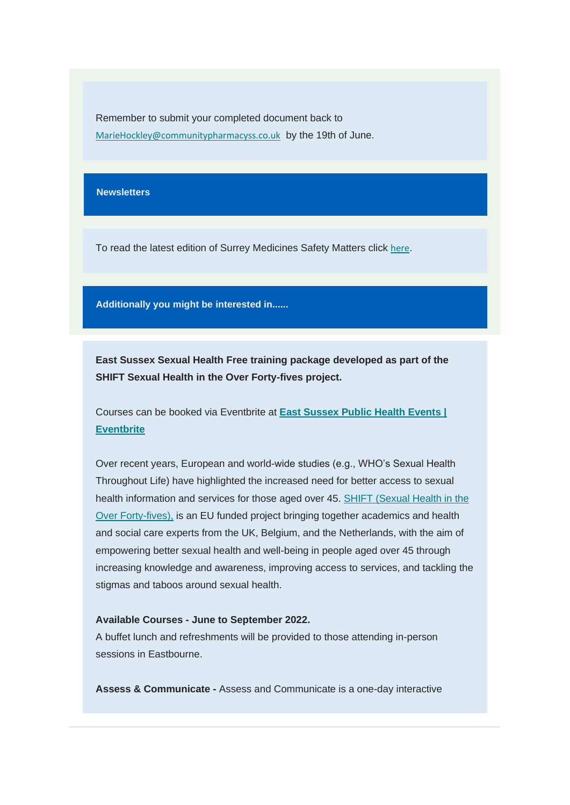Remember to submit your completed document back to [MarieHockley@communitypharmacyss.co.uk](mailto:MarieHockley@communitypharmacyss.co.uk) by the 19th of June.

#### **Newsletters**

To read the latest edition of Surrey Medicines Safety Matters click [here](https://communitypharmacyss.us7.list-manage.com/track/click?u=33f7e892f0f58b8b9ecc659cf&id=8b65949832&e=2bf65ab530).

**Additionally you might be interested in......**

**East Sussex Sexual Health Free training package developed as part of the SHIFT Sexual Health in the Over Forty-fives project.** 

Courses can be booked via Eventbrite at **[East Sussex Public Health Events |](https://communitypharmacyss.us7.list-manage.com/track/click?u=33f7e892f0f58b8b9ecc659cf&id=85c19914c7&e=2bf65ab530)  [Eventbrite](https://communitypharmacyss.us7.list-manage.com/track/click?u=33f7e892f0f58b8b9ecc659cf&id=85c19914c7&e=2bf65ab530)**

Over recent years, European and world-wide studies (e.g., WHO's Sexual Health Throughout Life) have highlighted the increased need for better access to sexual health information and services for those aged over 45. SHIFT (Sexual Health in the Over Forty-fives), is an EU funded project bringing together academics and health and social care experts from the UK, Belgium, and the Netherlands, with the aim of empowering better sexual health and well-being in people aged over 45 through increasing knowledge and awareness, improving access to services, and tackling the stigmas and taboos around sexual health.

#### **Available Courses - June to September 2022.**

A buffet lunch and refreshments will be provided to those attending in-person sessions in Eastbourne.

**Assess & Communicate -** Assess and Communicate is a one-day interactive